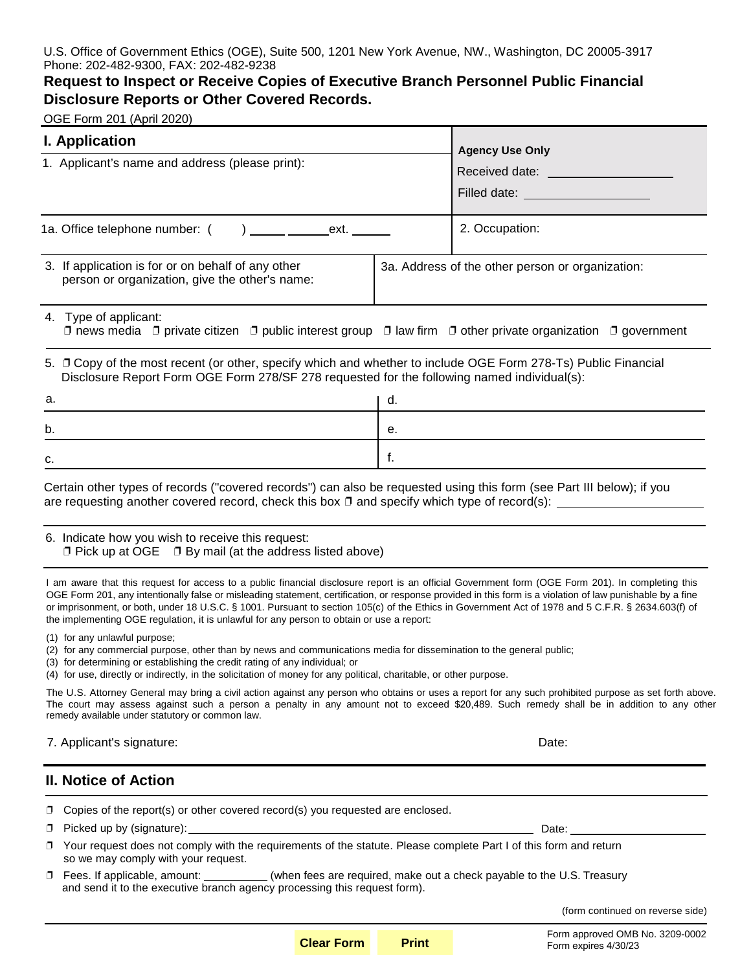U.S. Office of Government Ethics (OGE), Suite 500, 1201 New York Avenue, NW., Washington, DC 20005-3917 Phone: 202-482-9300, FAX: 202-482-9238

## **Request to Inspect or Receive Copies of Executive Branch Personnel Public Financial Disclosure Reports or Other Covered Records.**

OGE Form 201 (April 2020)

| <b>I. Application</b>                                                                                                                                                                                                                                                                                                                                                                                                                                                                                                                                                                                                                                                                                                                                                                                                                                                                                                                 |                                                  | <b>Agency Use Only</b>             |
|---------------------------------------------------------------------------------------------------------------------------------------------------------------------------------------------------------------------------------------------------------------------------------------------------------------------------------------------------------------------------------------------------------------------------------------------------------------------------------------------------------------------------------------------------------------------------------------------------------------------------------------------------------------------------------------------------------------------------------------------------------------------------------------------------------------------------------------------------------------------------------------------------------------------------------------|--------------------------------------------------|------------------------------------|
| 1. Applicant's name and address (please print):                                                                                                                                                                                                                                                                                                                                                                                                                                                                                                                                                                                                                                                                                                                                                                                                                                                                                       |                                                  | Received date: <b>Example 2019</b> |
|                                                                                                                                                                                                                                                                                                                                                                                                                                                                                                                                                                                                                                                                                                                                                                                                                                                                                                                                       |                                                  |                                    |
|                                                                                                                                                                                                                                                                                                                                                                                                                                                                                                                                                                                                                                                                                                                                                                                                                                                                                                                                       |                                                  | Filled date: ____________________  |
| 1a. Office telephone number: (<br>ext.<br>$\overline{a}$                                                                                                                                                                                                                                                                                                                                                                                                                                                                                                                                                                                                                                                                                                                                                                                                                                                                              |                                                  | 2. Occupation:                     |
| 3. If application is for or on behalf of any other<br>person or organization, give the other's name:                                                                                                                                                                                                                                                                                                                                                                                                                                                                                                                                                                                                                                                                                                                                                                                                                                  | 3a. Address of the other person or organization: |                                    |
| 4. Type of applicant:<br>$\Box$ news media $\Box$ private citizen $\Box$ public interest group $\Box$ law firm $\Box$ other private organization $\Box$ government                                                                                                                                                                                                                                                                                                                                                                                                                                                                                                                                                                                                                                                                                                                                                                    |                                                  |                                    |
| 5. □ Copy of the most recent (or other, specify which and whether to include OGE Form 278-Ts) Public Financial<br>Disclosure Report Form OGE Form 278/SF 278 requested for the following named individual(s):                                                                                                                                                                                                                                                                                                                                                                                                                                                                                                                                                                                                                                                                                                                         |                                                  |                                    |
| a.                                                                                                                                                                                                                                                                                                                                                                                                                                                                                                                                                                                                                                                                                                                                                                                                                                                                                                                                    | d.                                               |                                    |
| b.                                                                                                                                                                                                                                                                                                                                                                                                                                                                                                                                                                                                                                                                                                                                                                                                                                                                                                                                    | е.                                               |                                    |
| с.                                                                                                                                                                                                                                                                                                                                                                                                                                                                                                                                                                                                                                                                                                                                                                                                                                                                                                                                    | f.                                               |                                    |
| 6. Indicate how you wish to receive this request:<br>$\Box$ Pick up at OGE $\Box$ By mail (at the address listed above)<br>I am aware that this request for access to a public financial disclosure report is an official Government form (OGE Form 201). In completing this<br>OGE Form 201, any intentionally false or misleading statement, certification, or response provided in this form is a violation of law punishable by a fine<br>or imprisonment, or both, under 18 U.S.C. § 1001. Pursuant to section 105(c) of the Ethics in Government Act of 1978 and 5 C.F.R. § 2634.603(f) of<br>the implementing OGE regulation, it is unlawful for any person to obtain or use a report:<br>(1) for any unlawful purpose;<br>(2) for any commercial purpose, other than by news and communications media for dissemination to the general public;<br>(3) for determining or establishing the credit rating of any individual; or |                                                  |                                    |
| (4) for use, directly or indirectly, in the solicitation of money for any political, charitable, or other purpose.<br>The U.S. Attorney General may bring a civil action against any person who obtains or uses a report for any such prohibited purpose as set forth above.<br>The court may assess against such a person a penalty in any amount not to exceed \$20,489. Such remedy shall be in addition to any other<br>remedy available under statutory or common law.                                                                                                                                                                                                                                                                                                                                                                                                                                                           |                                                  |                                    |
| 7. Applicant's signature:                                                                                                                                                                                                                                                                                                                                                                                                                                                                                                                                                                                                                                                                                                                                                                                                                                                                                                             |                                                  | Date:                              |
| <b>II. Notice of Action</b>                                                                                                                                                                                                                                                                                                                                                                                                                                                                                                                                                                                                                                                                                                                                                                                                                                                                                                           |                                                  |                                    |
| Copies of the report(s) or other covered record(s) you requested are enclosed.                                                                                                                                                                                                                                                                                                                                                                                                                                                                                                                                                                                                                                                                                                                                                                                                                                                        |                                                  |                                    |
| σ                                                                                                                                                                                                                                                                                                                                                                                                                                                                                                                                                                                                                                                                                                                                                                                                                                                                                                                                     |                                                  |                                    |
| □ Your request does not comply with the requirements of the statute. Please complete Part I of this form and return<br>so we may comply with your request.                                                                                                                                                                                                                                                                                                                                                                                                                                                                                                                                                                                                                                                                                                                                                                            |                                                  |                                    |
| D Fees. If applicable, amount: __________(when fees are required, make out a check payable to the U.S. Treasury and send it to the executive branch agency processing this request form).                                                                                                                                                                                                                                                                                                                                                                                                                                                                                                                                                                                                                                                                                                                                             |                                                  |                                    |
|                                                                                                                                                                                                                                                                                                                                                                                                                                                                                                                                                                                                                                                                                                                                                                                                                                                                                                                                       |                                                  | (form continued on reverse side)   |

Form approved OMB No. 3209-0002 Form expires 4/30/23